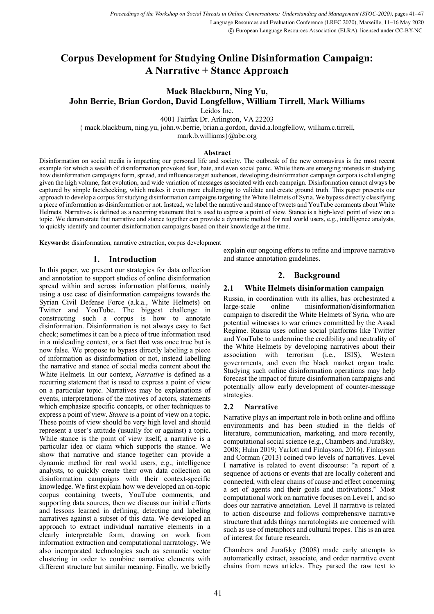# **Corpus Development for Studying Online Disinformation Campaign: A Narrative + Stance Approach**

# **Mack Blackburn, Ning Yu,**

**John Berrie, Brian Gordon, David Longfellow, William Tirrell, Mark Williams**

Leidos Inc.

4001 Fairfax Dr. Arlington, VA 22203

{ mack.blackburn, ning.yu, john.w.berrie, brian.a.gordon, david.a.longfellow, william.c.tirrell,

mark.b.williams}@abc.org

#### **Abstract**

Disinformation on social media is impacting our personal life and society. The outbreak of the new coronavirus is the most recent example for which a wealth of disinformation provoked fear, hate, and even social panic. While there are emerging interests in studying how disinformation campaigns form, spread, and influence target audiences, developing disinformation campaign corpora is challenging given the high volume, fast evolution, and wide variation of messages associated with each campaign. Disinformation cannot always be captured by simple factchecking, which makes it even more challenging to validate and create ground truth. This paper presents our approach to develop a corpus for studying disinformation campaignstargeting the White Helmets of Syria. We bypass directly classifying a piece of information as disinformation or not. Instead, we label the narrative and stance of tweets and YouTube comments about White Helmets. Narratives is defined as a recurring statement that is used to express a point of view. Stance is a high-level point of view on a topic. We demonstrate that narrative and stance together can provide a dynamic method for real world users, e.g., intelligence analysts, to quickly identify and counter disinformation campaigns based on their knowledge at the time.

**Keywords:** disinformation, narrative extraction, corpus development

## **1. Introduction**

In this paper, we present our strategies for data collection and annotation to support studies of online disinformation spread within and across information platforms, mainly using a use case of disinformation campaigns towards the Syrian Civil Defense Force (a.k.a., White Helmets) on Twitter and YouTube. The biggest challenge in constructing such a corpus is how to annotate disinformation. Disinformation is not always easy to fact check; sometimes it can be a piece of true information used in a misleading context, or a fact that was once true but is now false. We propose to bypass directly labeling a piece of information as disinformation or not, instead labelling the narrative and stance of social media content about the White Helmets. In our context, *Narrative* is defined as a recurring statement that is used to express a point of view on a particular topic. Narratives may be explanations of events, interpretations of the motives of actors, statements which emphasize specific concepts, or other techniques to express a point of view. *Stance* is a point of view on a topic. These points of view should be very high level and should represent a user's attitude (usually for or against) a topic. While stance is the point of view itself, a narrative is a particular idea or claim which supports the stance. We show that narrative and stance together can provide a dynamic method for real world users, e.g., intelligence analysts, to quickly create their own data collection on disinformation campaigns with their context-specific knowledge. We first explain how we developed an on-topic corpus containing tweets, YouTube comments, and supporting data sources, then we discuss our initial efforts and lessons learned in defining, detecting and labeling narratives against a subset of this data. We developed an approach to extract individual narrative elements in a clearly interpretable form, drawing on work from information extraction and computational narratology. We also incorporated technologies such as semantic vector clustering in order to combine narrative elements with different structure but similar meaning. Finally, we briefly

explain our ongoing efforts to refine and improve narrative and stance annotation guidelines.

# **2. Background**

### **2.1 White Helmets disinformation campaign**

Russia, in coordination with its allies, has orchestrated a large-scale online misinformation/disinformation campaign to discredit the White Helmets of Syria, who are potential witnesses to war crimes committed by the Assad Regime. Russia uses online social platforms like Twitter and YouTube to undermine the credibility and neutrality of the White Helmets by developing narratives about their association with terrorism (i.e., ISIS), Western governments, and even the black market organ trade. Studying such online disinformation operations may help forecast the impact of future disinformation campaigns and potentially allow early development of counter-message strategies.

### **2.2 Narrative**

Narrative plays an important role in both online and offline environments and has been studied in the fields of literature, communication, marketing, and more recently, computational social science (e.g., Chambers and Jurafsky, 2008; Huhn 2019; Yarlott and Finlayson, 2016). Finlayson and Corman (2013) coined two levels of narratives. Level I narrative is related to event discourse: "a report of a sequence of actions or events that are locally coherent and connected, with clear chains of cause and effect concerning a set of agents and their goals and motivations." Most computational work on narrative focuses on Level I, and so does our narrative annotation. Level II narrative is related to action discourse and follows comprehensive narrative structure that adds things narratologists are concerned with such as use of metaphors and cultural tropes. This is an area of interest for future research.

Chambers and Jurafsky (2008) made early attempts to automatically extract, associate, and order narrative event chains from news articles. They parsed the raw text to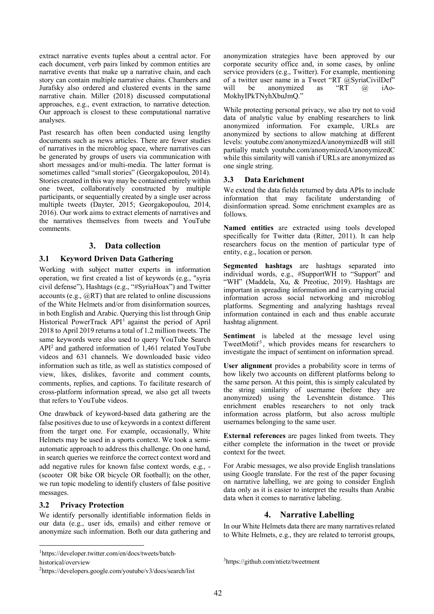extract narrative events tuples about a central actor. For each document, verb pairs linked by common entities are narrative events that make up a narrative chain, and each story can contain multiple narrative chains. Chambers and Jurafsky also ordered and clustered events in the same narrative chain. Miller (2018) discussed computational approaches, e.g., event extraction, to narrative detection. Our approach is closest to these computational narrative analyses.

Past research has often been conducted using lengthy documents such as news articles. There are fewer studies of narratives in the microblog space, where narratives can be generated by groups of users via communication with short messages and/or multi-media. The latter format is sometimes called "small stories" (Georgakopoulou, 2014). Stories created in this way may be contained entirely within one tweet, collaboratively constructed by multiple participants, or sequentially created by a single user across multiple tweets (Dayter, 2015; Georgakopoulou, 2014, 2016). Our work aims to extract elements of narratives and the narratives themselves from tweets and YouTube comments.

# **3. Data collection**

# **3.1 Keyword Driven Data Gathering**

Working with subject matter experts in information operation, we first created a list of keywords (e.g., "syria civil defense"), Hashtags (e.g., "#SyriaHoax") and Twitter accounts (e.g., @RT) that are related to online discussions of the White Helmets and/or from disinformation sources, in both English and Arabic. Querying this list through Gnip Historical PowerTrack API<sup>1</sup> against the period of April 2018 to April 2019 returns a total of 1.2 million tweets. The same keywords were also used to query YouTube Search API2 and gathered information of 1,461 related YouTube videos and 631 channels. We downloaded basic video information such as title, as well as statistics composed of view, likes, dislikes, favorite and comment counts, comments, replies, and captions. To facilitate research of cross-platform information spread, we also get all tweets that refers to YouTube videos.

One drawback of keyword-based data gathering are the false positives due to use of keywords in a context different from the target one. For example, occasionally, White Helmets may be used in a sports context. We took a semiautomatic approach to address this challenge. On one hand, in search queries we reinforce the correct context word and add negative rules for known false context words, e.g., - (scooter OR bike OR bicycle OR football); on the other, we run topic modeling to identify clusters of false positive messages.

## **3.2 Privacy Protection**

We identify personally identifiable information fields in our data (e.g., user ids, emails) and either remove or anonymize such information. Both our data gathering and

|<br>|<br>| https://developer.twitter.com/en/docs/tweets/batch-

historical/overview

anonymization strategies have been approved by our corporate security office and, in some cases, by online service providers (e.g., Twitter). For example, mentioning of a twitter user name in a Tweet "RT @SyriaCivilDef" will be anonymized as "RT @ iAo-MokhyIPkTNyhXbuJmQ."

While protecting personal privacy, we also try not to void data of analytic value by enabling researchers to link anonymized information. For example, URLs are anonymized by sections to allow matching at different levels: youtube.com/anonymizedA/anonymizedB will still partially match youtube.com/anonymizedA/anonymizedC while this similarity will vanish if URLs are anonymized as one single string.

## **3.3 Data Enrichment**

We extend the data fields returned by data APIs to include information that may facilitate understanding of disinformation spread. Some enrichment examples are as follows.

**Named entities** are extracted using tools developed specifically for Twitter data (Ritter, 2011). It can help researchers focus on the mention of particular type of entity, e.g., location or person.

**Segmented hashtags** are hashtags separated into individual words, e.g., #SupportWH to "Support" and "WH" (Maddela, Xu, & Preotiuc, 2019). Hashtags are important in spreading information and in carrying crucial information across social networking and microblog platforms. Segmenting and analyzing hashtags reveal information contained in each and thus enable accurate hashtag alignment.

**Sentiment** is labeled at the message level using TweetMotif<sup>3</sup>, which provides means for researchers to investigate the impact of sentiment on information spread.

**User alignment** provides a probability score in terms of how likely two accounts on different platforms belong to the same person. At this point, this is simply calculated by the string similarity of username (before they are anonymized) using the Levenshtein distance. This enrichment enables researchers to not only track information across platform, but also across multiple usernames belonging to the same user.

**External references** are pages linked from tweets. They either complete the information in the tweet or provide context for the tweet.

For Arabic messages, we also provide English translations using Google translate. For the rest of the paper focusing on narrative labelling, we are going to consider English data only as it is easier to interpret the results than Arabic data when it comes to narrative labeling.

# **4. Narrative Labelling**

In our White Helmets data there are many narratives related to White Helmets, e.g., they are related to terrorist groups,

<sup>&</sup>lt;sup>2</sup>https://developers.google.com/youtube/v3/docs/search/list

<sup>3</sup> https://github.com/ntietz/tweetment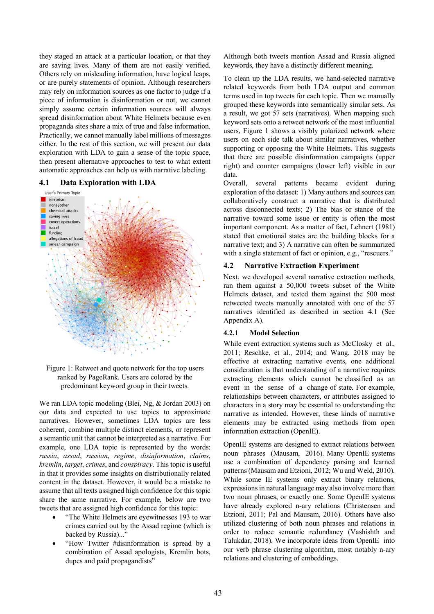they staged an attack at a particular location, or that they are saving lives. Many of them are not easily verified. Others rely on misleading information, have logical leaps, or are purely statements of opinion. Although researchers may rely on information sources as one factor to judge if a piece of information is disinformation or not, we cannot simply assume certain information sources will always spread disinformation about White Helmets because even propaganda sites share a mix of true and false information. Practically, we cannot manually label millions of messages either. In the rest of this section, we will present our data exploration with LDA to gain a sense of the topic space, then present alternative approaches to test to what extent automatic approaches can help us with narrative labeling.

#### **4.1 Data Exploration with LDA**



Figure 1: Retweet and quote network for the top users ranked by PageRank. Users are colored by the predominant keyword group in their tweets.

We ran LDA topic modeling (Blei, Ng, & Jordan 2003) on our data and expected to use topics to approximate narratives. However, sometimes LDA topics are less coherent, combine multiple distinct elements, or represent a semantic unit that cannot be interpreted as a narrative. For example, one LDA topic is represented by the words: *russia*, *assad*, *russian*, *regime*, *disinformation*, *claims*, *kremlin*, *target*, *crimes*, and *conspiracy*. This topic is useful in that it provides some insights on distributionally related content in the dataset. However, it would be a mistake to assume that all texts assigned high confidence for this topic share the same narrative. For example, below are two tweets that are assigned high confidence for this topic:

- "The White Helmets are eyewitnesses 193 to war crimes carried out by the Assad regime (which is backed by Russia)..."
- "How Twitter #disinformation is spread by a combination of Assad apologists, Kremlin bots, dupes and paid propagandists"

Although both tweets mention Assad and Russia aligned keywords, they have a distinctly different meaning.

To clean up the LDA results, we hand-selected narrative related keywords from both LDA output and common terms used in top tweets for each topic. Then we manually grouped these keywords into semantically similar sets. As a result, we got 57 sets (narratives). When mapping such keyword sets onto a retweet network of the most influential users, Figure 1 shows a visibly polarized network where users on each side talk about similar narratives, whether supporting or opposing the White Helmets. This suggests that there are possible disinformation campaigns (upper right) and counter campaigns (lower left) visible in our data.

Overall, several patterns became evident during exploration of the dataset: 1) Many authors and sources can collaboratively construct a narrative that is distributed across disconnected texts; 2) The bias or stance of the narrative toward some issue or entity is often the most important component. As a matter of fact, Lehnert (1981) stated that emotional states are the building blocks for a narrative text; and 3) A narrative can often be summarized with a single statement of fact or opinion, e.g., "rescuers."

#### **4.2 Narrative Extraction Experiment**

Next, we developed several narrative extraction methods, ran them against a 50,000 tweets subset of the White Helmets dataset, and tested them against the 500 most retweeted tweets manually annotated with one of the 57 narratives identified as described in section 4.1 (See Appendix A).

#### **4.2.1 Model Selection**

While event extraction systems such as McClosky et al., 2011; Reschke, et al., 2014; and Wang, 2018 may be effective at extracting narrative events, one additional consideration is that understanding of a narrative requires extracting elements which cannot be classified as an event in the sense of a change of state. For example, relationships between characters, or attributes assigned to characters in a story may be essential to understanding the narrative as intended. However, these kinds of narrative elements may be extracted using methods from open information extraction (OpenIE).

OpenIE systems are designed to extract relations between noun phrases (Mausam, 2016). Many OpenIE systems use a combination of dependency parsing and learned patterns (Mausam and Etzioni, 2012; Wu and Weld, 2010). While some IE systems only extract binary relations, expressions in natural language may also involve more than two noun phrases, or exactly one. Some OpenIE systems have already explored n-ary relations (Christensen and Etzioni, 2011; Pal and Mausam, 2016). Others have also utilized clustering of both noun phrases and relations in order to reduce semantic redundancy (Vashishth and Talukdar, 2018). We incorporate ideas from OpenIE into our verb phrase clustering algorithm, most notably n-ary relations and clustering of embeddings.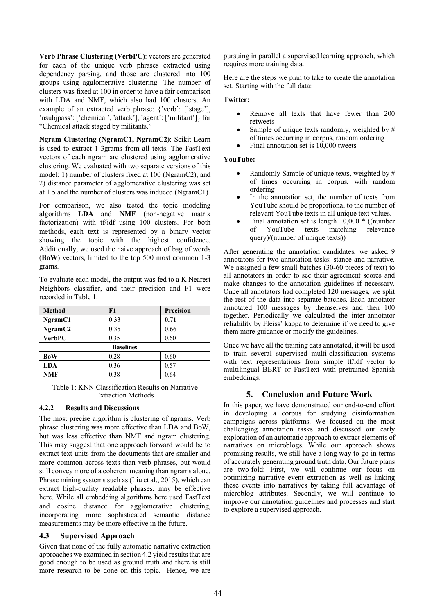**Verb Phrase Clustering (VerbPC)**: vectors are generated for each of the unique verb phrases extracted using dependency parsing, and those are clustered into 100 groups using agglomerative clustering. The number of clusters was fixed at 100 in order to have a fair comparison with LDA and NMF, which also had 100 clusters. An example of an extracted verb phrase: {'verb': ['stage'], 'nsubjpass': ['chemical', 'attack'], 'agent': ['militant']} for "Chemical attack staged by militants."

**Ngram Clustering (NgramC1, NgramC2)**: Scikit-Learn is used to extract 1-3grams from all texts. The FastText vectors of each ngram are clustered using agglomerative clustering. We evaluated with two separate versions of this model: 1) number of clusters fixed at 100 (NgramC2), and 2) distance parameter of agglomerative clustering was set at 1.5 and the number of clusters was induced (NgramC1).

For comparison, we also tested the topic modeling algorithms **LDA** and **NMF** (non-negative matrix factorization) with tf/idf using 100 clusters. For both methods, each text is represented by a binary vector showing the topic with the highest confidence. Additionally, we used the naive approach of bag of words (**BoW**) vectors, limited to the top 500 most common 1-3 grams.

To evaluate each model, the output was fed to a K Nearest Neighbors classifier, and their precision and F1 were recorded in Table 1.

| <b>Method</b>       | F1   | <b>Precision</b> |
|---------------------|------|------------------|
| NgramC1             | 0.33 | 0.71             |
| NgramC <sub>2</sub> | 0.35 | 0.66             |
| <b>VerbPC</b>       | 0.35 | 0.60             |
| <b>Baselines</b>    |      |                  |
| <b>BoW</b>          | 0.28 | 0.60             |
| <b>LDA</b>          | 0.36 | 0.57             |
| <b>NMF</b>          | 0.38 | 0.64             |

Table 1: KNN Classification Results on Narrative Extraction Methods

### **4.2.2 Results and Discussions**

The most precise algorithm is clustering of ngrams. Verb phrase clustering was more effective than LDA and BoW, but was less effective than NMF and ngram clustering. This may suggest that one approach forward would be to extract text units from the documents that are smaller and more common across texts than verb phrases, but would still convey more of a coherent meaning than ngrams alone. Phrase mining systems such as (Liu et al., 2015), which can extract high-quality readable phrases, may be effective here. While all embedding algorithms here used FastText and cosine distance for agglomerative clustering, incorporating more sophisticated semantic distance measurements may be more effective in the future.

### **4.3 Supervised Approach**

Given that none of the fully automatic narrative extraction approaches we examined in section 4.2 yield results that are good enough to be used as ground truth and there is still more research to be done on this topic. Hence, we are pursuing in parallel a supervised learning approach, which requires more training data.

Here are the steps we plan to take to create the annotation set. Starting with the full data:

#### **Twitter:**

- Remove all texts that have fewer than 200 retweets
- Sample of unique texts randomly, weighted by  $#$ of times occurring in corpus, random ordering
- Final annotation set is 10,000 tweets

### **YouTube:**

- Randomly Sample of unique texts, weighted by # of times occurring in corpus, with random ordering
- In the annotation set, the number of texts from YouTube should be proportional to the number of relevant YouTube texts in all unique text values.
- Final annotation set is length 10,000 \* ((number<br>of YouTube texts matching relevance of YouTube texts matching relevance query)/(number of unique texts))

After generating the annotation candidates, we asked 9 annotators for two annotation tasks: stance and narrative. We assigned a few small batches (30-60 pieces of text) to all annotators in order to see their agreement scores and make changes to the annotation guidelines if necessary. Once all annotators had completed 120 messages, we split the rest of the data into separate batches. Each annotator annotated 100 messages by themselves and then 100 together. Periodically we calculated the inter-annotator reliability by Fleiss' kappa to determine if we need to give them more guidance or modify the guidelines.

Once we have all the training data annotated, it will be used to train several supervised multi-classification systems with text representations from simple tf/idf vector to multilingual BERT or FastText with pretrained Spanish embeddings.

## **5. Conclusion and Future Work**

In this paper, we have demonstrated our end-to-end effort in developing a corpus for studying disinformation campaigns across platforms. We focused on the most challenging annotation tasks and discussed our early exploration of an automatic approach to extract elements of narratives on microblogs. While our approach shows promising results, we still have a long way to go in terms of accurately generating ground truth data. Our future plans are two-fold: First, we will continue our focus on optimizing narrative event extraction as well as linking these events into narratives by taking full advantage of microblog attributes. Secondly, we will continue to improve our annotation guidelines and processes and start to explore a supervised approach.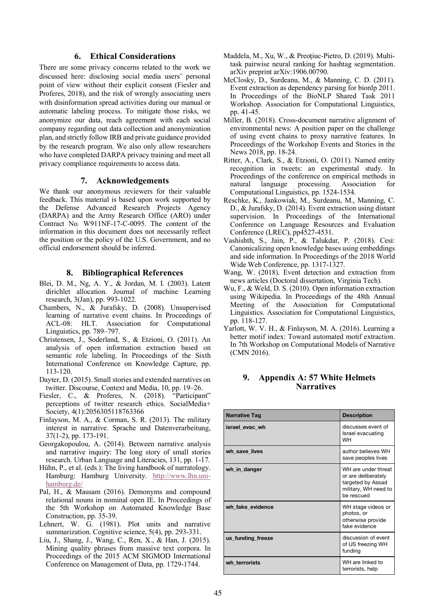## **6. Ethical Considerations**

There are some privacy concerns related to the work we discussed here: disclosing social media users' personal point of view without their explicit consent (Fiesler and Proferes, 2018), and the risk of wrongly associating users with disinformation spread activities during our manual or automatic labeling process. To mitigate those risks, we anonymize our data, reach agreement with each social company regarding out data collection and anonymization plan, and strictly follow IRB and private guidance provided by the research program. We also only allow researchers who have completed DARPA privacy training and meet all privacy compliance requirements to access data.

#### **7. Acknowledgements**

We thank our anonymous reviewers for their valuable feedback. This material is based upon work supported by the Defense Advanced Research Projects Agency (DARPA) and the Army Research Office (ARO) under Contract No. W911NF-17-C-0095. The content of the information in this document does not necessarily reflect the position or the policy of the U.S. Government, and no official endorsement should be inferred.

#### **8. Bibliographical References**

- Blei, D. M., Ng, A. Y., & Jordan, M. I. (2003). Latent dirichlet allocation. Journal of machine Learning research, 3(Jan), pp. 993-1022.
- Chambers, N., & Jurafsky, D. (2008). Unsupervised learning of narrative event chains. In Proceedings of ACL-08: HLT. Association for Computational Linguistics, pp. 789–797.
- Christensen, J., Soderland, S., & Etzioni, O. (2011). An analysis of open information extraction based on semantic role labeling. In Proceedings of the Sixth International Conference on Knowledge Capture, pp. 113-120.
- Dayter, D. (2015). Small stories and extended narratives on twitter. Discourse, Context and Media, 10, pp. 19–26.
- Fiesler, C., & Proferes, N. (2018). "Participant" perceptions of twitter research ethics. SocialMedia+ Society, 4(1):2056305118763366
- Finlayson, M. A., & Corman, S. R. (2013). The military interest in narrative. Sprache und Datenverarbeitung, 37(1-2), pp. 173-191.
- Georgakopoulou, A. (2014). Between narrative analysis and narrative inquiry: The long story of small stories research. Urban Language and Literacies, 131, pp. 1-17.
- Hühn, P., et al. (eds.): The living handbook of narratology. Hamburg: Hamburg University. http://www.lhn.unihamburg.de/
- Pal, H., & Mausam (2016). Demonyms and compound relational nouns in nominal open IE. In Proceedings of the 5th Workshop on Automated Knowledge Base Construction, pp. 35-39.
- Lehnert, W. G. (1981). Plot units and narrative summarization. Cognitive science, 5(4), pp. 293-331.
- Liu, J., Shang, J., Wang, C., Ren, X., & Han, J. (2015). Mining quality phrases from massive text corpora. In Proceedings of the 2015 ACM SIGMOD International Conference on Management of Data, pp. 1729-1744.
- Maddela, M., Xu, W., & Preoţiuc-Pietro, D. (2019). Multitask pairwise neural ranking for hashtag segmentation. arXiv preprint arXiv:1906.00790.
- McClosky, D., Surdeanu, M., & Manning, C. D. (2011). Event extraction as dependency parsing for bionlp 2011. In Proceedings of the BioNLP Shared Task 2011 Workshop. Association for Computational Linguistics, pp. 41-45.
- Miller, B. (2018). Cross-document narrative alignment of environmental news: A position paper on the challenge of using event chains to proxy narrative features. In Proceedings of the Workshop Events and Stories in the News 2018, pp. 18-24.
- Ritter, A., Clark, S., & Etzioni, O. (2011). Named entity recognition in tweets: an experimental study. In Proceedings of the conference on empirical methods in natural language processing. Association for Computational Linguistics, pp. 1524-1534.
- Reschke, K., Jankowiak, M., Surdeanu, M., Manning, C. D., & Jurafsky, D. (2014). Event extraction using distant supervision. In Proceedings of the International Conference on Language Resources and Evaluation Conference (LREC), pp4527-4531.
- Vashishth, S., Jain, P., & Talukdar, P. (2018). Cesi: Canonicalizing open knowledge bases using embeddings and side information. In Proceedings of the 2018 World Wide Web Conference, pp. 1317-1327.
- Wang, W. (2018). Event detection and extraction from news articles (Doctoral dissertation, Virginia Tech).
- Wu, F., & Weld, D. S. (2010). Open information extraction using Wikipedia. In Proceedings of the 48th Annual Meeting of the Association for Computational Linguistics. Association for Computational Linguistics, pp. 118-127.
- Yarlott, W. V. H., & Finlayson, M. A. (2016). Learning a better motif index: Toward automated motif extraction. In 7th Workshop on Computational Models of Narrative (CMN 2016).

### **9. Appendix A: 57 White Helmets Narratives**

| <b>Narrative Tag</b> | <b>Description</b>                                                                                    |
|----------------------|-------------------------------------------------------------------------------------------------------|
| israel evac wh       | discusses event of<br>Israel evacuating<br><b>WH</b>                                                  |
| wh save lives        | author believes WH<br>save peoples lives                                                              |
| wh_in_danger         | WH are under threat<br>or are deliberately<br>targeted by Assad<br>military, WH need to<br>be rescued |
| wh fake evidence     | WH stage videos or<br>photos, or<br>otherwise provide<br>fake evidence                                |
| us_funding_freeze    | discussion of event<br>of US freezing WH<br>funding                                                   |
| wh terrorists        | WH are linked to<br>terrorists, help                                                                  |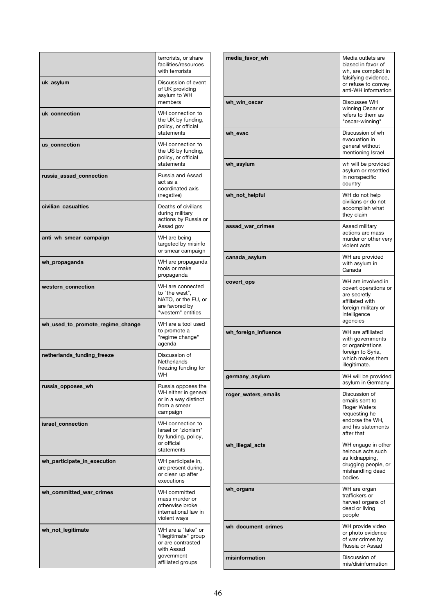|                                  | terrorists, or share<br>facilities/resources<br>with terrorists                                                  |
|----------------------------------|------------------------------------------------------------------------------------------------------------------|
| uk_asylum                        | Discussion of event<br>of UK providing<br>asylum to WH<br>members                                                |
| uk connection                    | WH connection to<br>the UK by funding,<br>policy, or official<br>statements                                      |
| us_connection                    | WH connection to<br>the US by funding,<br>policy, or official<br>statements                                      |
| russia_assad_connection          | Russia and Assad<br>act as a<br>coordinated axis<br>(negative)                                                   |
| civilian_casualties              | Deaths of civilians<br>during military<br>actions by Russia or<br>Assad gov                                      |
| anti_wh_smear_campaign           | WH are being<br>targeted by misinfo<br>or smear campaign                                                         |
| wh_propaganda                    | WH are propaganda<br>tools or make<br>propaganda                                                                 |
| western_connection               | WH are connected<br>to "the west".<br>NATO, or the EU, or<br>are favored by<br>"western" entities                |
| wh_used_to_promote_regime_change | WH are a tool used<br>to promote a<br>"regime change"<br>agenda                                                  |
| netherlands funding freeze       | Discussion of<br>Netherlands<br>freezing funding for<br>WH                                                       |
| russia_opposes_wh                | Russia opposes the<br>WH either in general<br>or in a way distinct<br>from a smear<br>campaign                   |
| israel connection                | WH connection to<br>Israel or "zionism"<br>by funding, policy,<br>or official<br>statements                      |
| wh_participate_in_execution      | WH participate in,<br>are present during,<br>or clean up after<br>executions                                     |
| wh_committed_war_crimes          | WH committed<br>mass murder or<br>otherwise broke<br>international law in<br>violent ways                        |
| wh_not_legitimate                | WH are a "fake" or<br>"illegitimate" group<br>or are contrasted<br>with Assad<br>government<br>affiliated groups |

| media_favor_wh       | Media outlets are<br>biased in favor of<br>wh, are complicit in<br>falsifying evidence,<br>or refuse to convey<br>anti-WH information |
|----------------------|---------------------------------------------------------------------------------------------------------------------------------------|
| wh_win_oscar         | Discusses WH<br>winning Oscar or<br>refers to them as<br>"oscar-winning"                                                              |
| wh_evac              | Discussion of wh<br>evacuation in<br>general without<br>mentioning Israel                                                             |
| wh_asylum            | wh will be provided<br>asylum or resettled<br>in nonspecific<br>country                                                               |
| wh_not_helpful       | WH do not help<br>civilians or do not<br>accomplish what<br>they claim                                                                |
| assad_war_crimes     | Assad military<br>actions are mass<br>murder or other very<br>violent acts                                                            |
| canada_asylum        | WH are provided<br>with asylum in<br>Canada                                                                                           |
| covert_ops           | WH are involved in<br>covert operations or<br>are secretly<br>affiliated with<br>foreign military or<br>intelligence<br>agencies      |
| wh_foreign_influence | WH are affiliated<br>with governments<br>or organizations<br>foreign to Syria,<br>which makes them<br>illegitimate.                   |
| germany_asylun       | WH will be provided<br>asylum in Germany                                                                                              |
| roger_waters_emails  | Discussion of<br>emails sent to<br><b>Roger Waters</b><br>requesting he<br>endorse the WH.<br>and his statements<br>after that        |
| wh_illegal_acts      | WH engage in other<br>heinous acts such<br>as kidnapping,<br>drugging people, or<br>mishandling dead<br>bodies                        |
| wh_organs            | WH are organ<br>traffickers or<br>harvest organs of<br>dead or living<br>people                                                       |
| wh_document_crimes   | WH provide video<br>or photo evidence<br>of war crimes by<br>Russia or Assad                                                          |
| misinformation       | Discussion of<br>mis/disinformation                                                                                                   |